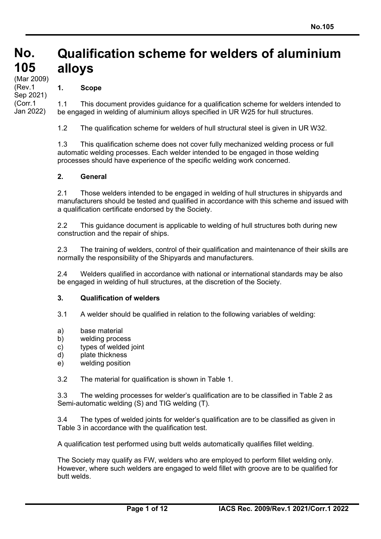#### **No. No. 105 105** (Mar 2009)<br>′Dav 4 **Qualification scheme for welders of aluminium alloys**

# **1. Scope**

(Rev.1 Sep 2021) (Corr.1 Jan 2022)

1.1 This document provides guidance for a qualification scheme for welders intended to be engaged in welding of aluminium alloys specified in UR W25 for hull structures.

1.2 The qualification scheme for welders of hull structural steel is given in UR W32.

1.3 This qualification scheme does not cover fully mechanized welding process or full automatic welding processes. Each welder intended to be engaged in those welding processes should have experience of the specific welding work concerned.

#### **2. General**

2.1 Those welders intended to be engaged in welding of hull structures in shipyards and manufacturers should be tested and qualified in accordance with this scheme and issued with a qualification certificate endorsed by the Society.

2.2 This guidance document is applicable to welding of hull structures both during new construction and the repair of ships.

2.3 The training of welders, control of their qualification and maintenance of their skills are normally the responsibility of the Shipyards and manufacturers.

2.4 Welders qualified in accordance with national or international standards may be also be engaged in welding of hull structures, at the discretion of the Society.

#### **3. Qualification of welders**

3.1 A welder should be qualified in relation to the following variables of welding:

- a) base material
- b) welding process
- c) types of welded joint
- d) plate thickness
- e) welding position

3.2 The material for qualification is shown in Table 1.

3.3 The welding processes for welder's qualification are to be classified in Table 2 as Semi-automatic welding (S) and TIG welding (T).

3.4 The types of welded joints for welder's qualification are to be classified as given in Table 3 in accordance with the qualification test.

A qualification test performed using butt welds automatically qualifies fillet welding.

The Society may qualify as FW, welders who are employed to perform fillet welding only. However, where such welders are engaged to weld fillet with groove are to be qualified for butt welds.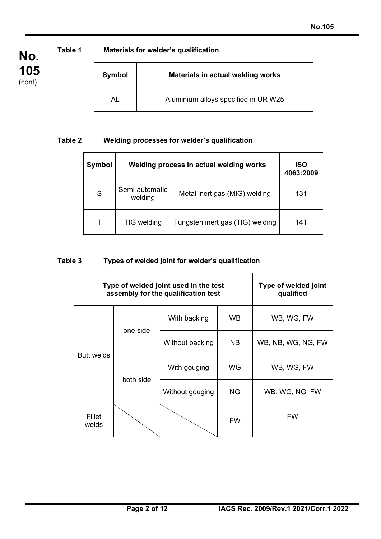**No.**

**105** (cont)

**Table 1 Materials for welder's qualification**

| Symbol | <b>Materials in actual welding works</b> |
|--------|------------------------------------------|
|        | Aluminium alloys specified in UR W25     |

# **Table 2 Welding processes for welder's qualification**

| Symbol | Welding process in actual welding works | ISO<br>4063:2009                 |     |
|--------|-----------------------------------------|----------------------------------|-----|
| S      | Semi-automatic<br>welding               | Metal inert gas (MIG) welding    | 131 |
| т      | TIG welding                             | Tungsten inert gas (TIG) welding | 141 |

# **Table 3 Types of welded joint for welder's qualification**

| Type of welded joint used in the test<br>assembly for the qualification test |           |                 | Type of welded joint<br>qualified |                    |
|------------------------------------------------------------------------------|-----------|-----------------|-----------------------------------|--------------------|
| <b>Butt welds</b>                                                            | one side  | With backing    | WB                                | WB, WG, FW         |
|                                                                              |           | Without backing | <b>NB</b>                         | WB, NB, WG, NG, FW |
|                                                                              | both side | With gouging    | WG                                | WB, WG, FW         |
|                                                                              |           | Without gouging | <b>NG</b>                         | WB, WG, NG, FW     |
| Fillet<br>welds                                                              |           |                 | <b>FW</b>                         | <b>FW</b>          |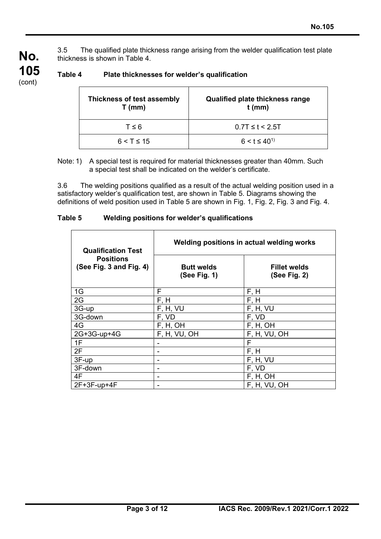3.5 The qualified plate thickness range arising from the welder qualification test plate thickness is shown in Table 4.

| Thickness of test assembly<br>$T$ (mm) | Qualified plate thickness range<br>$t$ (mm) |
|----------------------------------------|---------------------------------------------|
| $T \leq 6$                             | $0.7T \le t < 2.5T$                         |
| $6 < T \leq 15$                        | $6 < t \leq 40^{1}$                         |

# **Table 4 Plate thicknesses for welder's qualification**

**No.**

**105** (cont)

> Note: 1) A special test is required for material thicknesses greater than 40mm. Such a special test shall be indicated on the welder's certificate.

3.6 The welding positions qualified as a result of the actual welding position used in a satisfactory welder's qualification test, are shown in Table 5. Diagrams showing the definitions of weld position used in Table 5 are shown in Fig. 1, Fig. 2, Fig. 3 and Fig. 4.

| Table 5 | Welding positions for welder's qualifications |
|---------|-----------------------------------------------|
|---------|-----------------------------------------------|

| <b>Qualification Test</b>                   | Welding positions in actual welding works |                                     |  |
|---------------------------------------------|-------------------------------------------|-------------------------------------|--|
| <b>Positions</b><br>(See Fig. 3 and Fig. 4) | <b>Butt welds</b><br>(See Fig. 1)         | <b>Fillet welds</b><br>(See Fig. 2) |  |
| 1G                                          | F                                         | F, H                                |  |
| 2G                                          | F, H                                      | F, H                                |  |
| 3G-up                                       | F, H, VU                                  | F, H, VU                            |  |
| 3G-down                                     | F, VD                                     | F, VD                               |  |
| 4G                                          | F, H, OH                                  | F, H, OH                            |  |
| 2G+3G-up+4G                                 | F, H, VU, OH                              | F, H, VU, OH                        |  |
| 1F                                          |                                           | F                                   |  |
| 2F                                          |                                           | F, H                                |  |
| 3F-up                                       |                                           | F, H, VU                            |  |
| 3F-down                                     |                                           | F, VD                               |  |
| 4F                                          |                                           | F, H, OH                            |  |
| $2F+3F-up+4F$                               |                                           | F, H, VU, OH                        |  |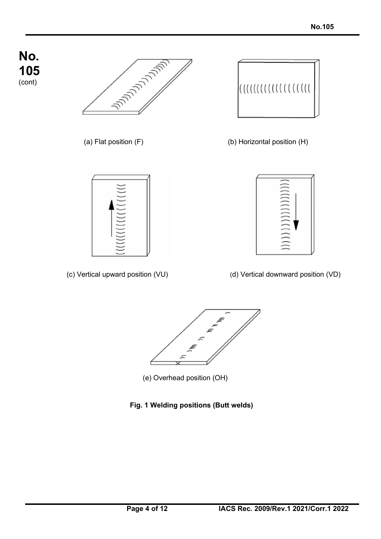



(c) Vertical upward position (VU) (d) Vertical downward position (VD)





- (e) Overhead position (OH)
- **Fig. 1 Welding positions (Butt welds)**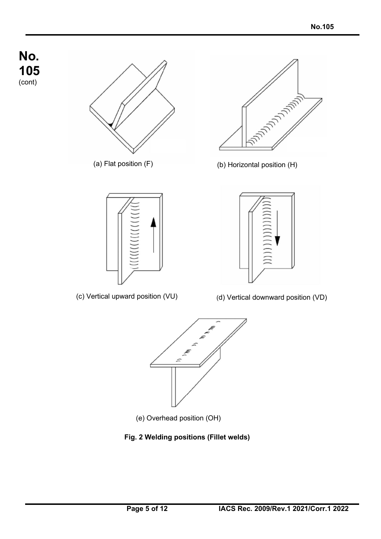







(a) Flat position (F) (b) Horizontal position (H)



(c) Vertical upward position (VU) (d) Vertical downward position (VD)



- (e) Overhead position (OH)
- **Fig. 2 Welding positions (Fillet welds)**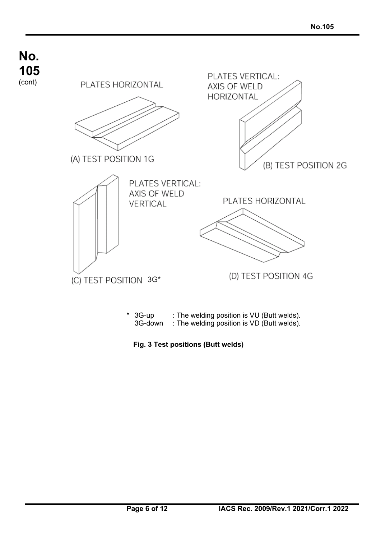

**Fig. 3 Test positions (Butt welds)**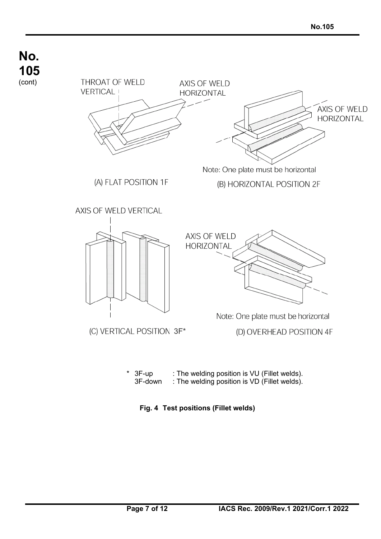

**Fig. 4 Test positions (Fillet welds)**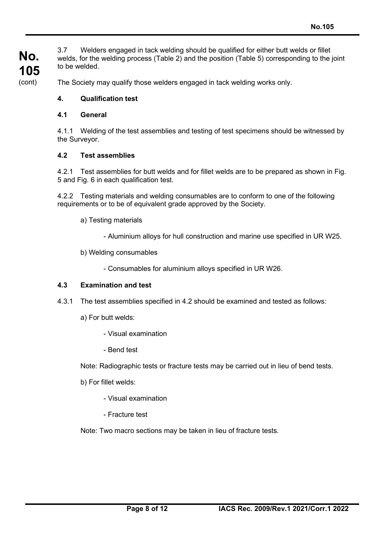**No.** 3.7 Welders engaged in tack welding should be qualified for either butt welds or fillet welds, for the welding process (Table 2) and the position (Table 5) corresponding to the joint to be welded.

**105** (cont)

The Society may qualify those welders engaged in tack welding works only.

# **4. Qualification test**

### **4.1 General**

4.1.1 Welding of the test assemblies and testing of test specimens should be witnessed by the Surveyor.

### **4.2 Test assemblies**

4.2.1 Test assemblies for butt welds and for fillet welds are to be prepared as shown in Fig. 5 and Fig. 6 in each qualification test.

4.2.2 Testing materials and welding consumables are to conform to one of the following requirements or to be of equivalent grade approved by the Society.

- a) Testing materials
	- Aluminium alloys for hull construction and marine use specified in UR W25.
- b) Welding consumables
	- Consumables for aluminium alloys specified in UR W26.

## **4.3 Examination and test**

- 4.3.1 The test assemblies specified in 4.2 should be examined and tested as follows:
	- a) For butt welds:
		- Visual examination
		- Bend test

Note: Radiographic tests or fracture tests may be carried out in lieu of bend tests.

- b) For fillet welds:
	- Visual examination
	- Fracture test

Note: Two macro sections may be taken in lieu of fracture tests.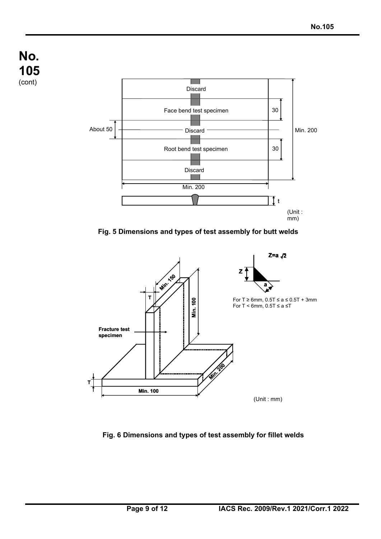







## **Fig. 6 Dimensions and types of test assembly for fillet welds**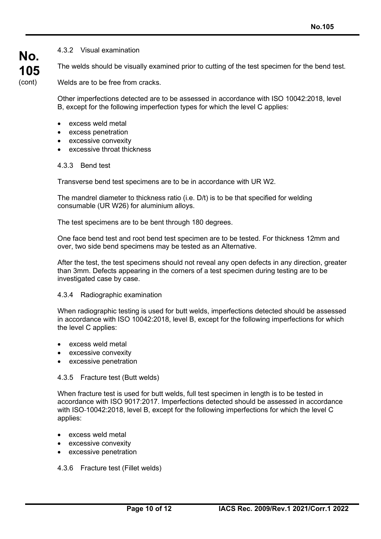4.3.2 Visual examination

The welds should be visually examined prior to cutting of the test specimen for the bend test.

Welds are to be free from cracks.

Other imperfections detected are to be assessed in accordance with ISO 10042:2018, level B, except for the following imperfection types for which the level C applies:

- excess weld metal
- excess penetration
- excessive convexity
- excessive throat thickness

#### 4.3.3 Bend test

Transverse bend test specimens are to be in accordance with UR W2.

The mandrel diameter to thickness ratio (i.e. D/t) is to be that specified for welding consumable (UR W26) for aluminium alloys.

The test specimens are to be bent through 180 degrees.

One face bend test and root bend test specimen are to be tested. For thickness 12mm and over, two side bend specimens may be tested as an Alternative.

After the test, the test specimens should not reveal any open defects in any direction, greater than 3mm. Defects appearing in the corners of a test specimen during testing are to be investigated case by case.

#### 4.3.4 Radiographic examination

When radiographic testing is used for butt welds, imperfections detected should be assessed in accordance with ISO 10042:2018, level B, except for the following imperfections for which the level C applies:

- excess weld metal
- excessive convexity
- excessive penetration

#### 4.3.5 Fracture test (Butt welds)

When fracture test is used for butt welds, full test specimen in length is to be tested in accordance with ISO 9017:2017. Imperfections detected should be assessed in accordance with ISO-10042:2018, level B, except for the following imperfections for which the level C applies:

- excess weld metal
- excessive convexity
- excessive penetration

#### 4.3.6 Fracture test (Fillet welds)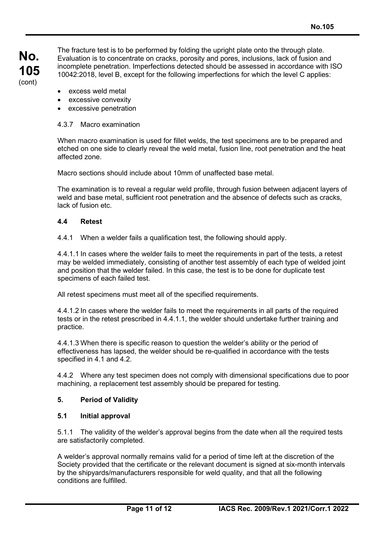The fracture test is to be performed by folding the upright plate onto the through plate. Evaluation is to concentrate on cracks, porosity and pores, inclusions, lack of fusion and incomplete penetration. Imperfections detected should be assessed in accordance with ISO 10042:2018, level B, except for the following imperfections for which the level C applies:

- excess weld metal
- excessive convexity
- excessive penetration

### 4.3.7 Macro examination

When macro examination is used for fillet welds, the test specimens are to be prepared and etched on one side to clearly reveal the weld metal, fusion line, root penetration and the heat affected zone.

Macro sections should include about 10mm of unaffected base metal.

The examination is to reveal a regular weld profile, through fusion between adjacent layers of weld and base metal, sufficient root penetration and the absence of defects such as cracks, lack of fusion etc.

### **4.4 Retest**

4.4.1 When a welder fails a qualification test, the following should apply.

4.4.1.1 In cases where the welder fails to meet the requirements in part of the tests, a retest may be welded immediately, consisting of another test assembly of each type of welded joint and position that the welder failed. In this case, the test is to be done for duplicate test specimens of each failed test.

All retest specimens must meet all of the specified requirements.

4.4.1.2 In cases where the welder fails to meet the requirements in all parts of the required tests or in the retest prescribed in 4.4.1.1, the welder should undertake further training and practice.

4.4.1.3 When there is specific reason to question the welder's ability or the period of effectiveness has lapsed, the welder should be re-qualified in accordance with the tests specified in 4.1 and 4.2.

4.4.2 Where any test specimen does not comply with dimensional specifications due to poor machining, a replacement test assembly should be prepared for testing.

## **5. Period of Validity**

#### **5.1 Initial approval**

5.1.1 The validity of the welder's approval begins from the date when all the required tests are satisfactorily completed.

A welder's approval normally remains valid for a period of time left at the discretion of the Society provided that the certificate or the relevant document is signed at six-month intervals by the shipyards/manufacturers responsible for weld quality, and that all the following conditions are fulfilled.